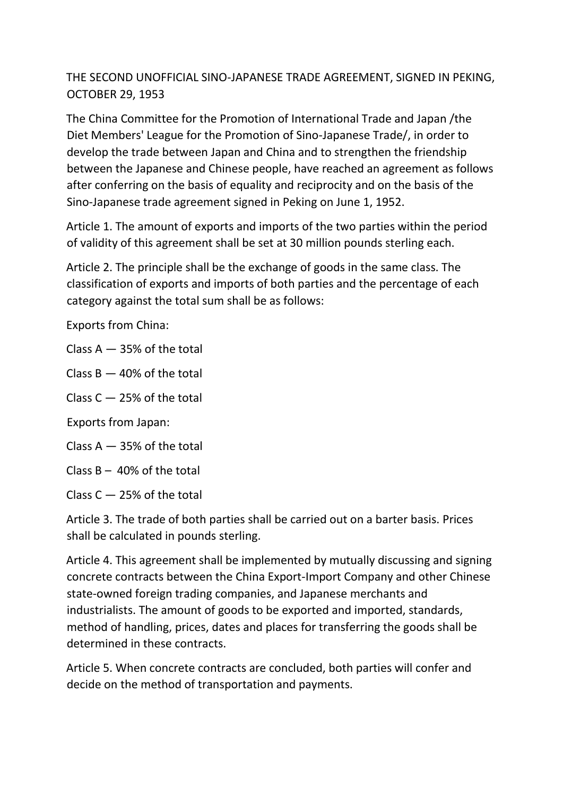## THE SECOND UNOFFICIAL SINO-JAPANESE TRADE AGREEMENT, SIGNED IN PEKING, OCTOBER 29, 1953

The China Committee for the Promotion of International Trade and Japan /the Diet Members' League for the Promotion of Sino-Japanese Trade/, in order to develop the trade between Japan and China and to strengthen the friendship between the Japanese and Chinese people, have reached an agreement as follows after conferring on the basis of equality and reciprocity and on the basis of the Sino-Japanese trade agreement signed in Peking on June 1, 1952.

Article 1. The amount of exports and imports of the two parties within the period of validity of this agreement shall be set at 30 million pounds sterling each.

Article 2. The principle shall be the exchange of goods in the same class. The classification of exports and imports of both parties and the percentage of each category against the total sum shall be as follows:

Exports from China:

Class  $A - 35%$  of the total

Class  $B - 40%$  of the total

Class  $C - 25%$  of the total

Exports from Japan:

Class  $A - 35%$  of the total

Class  $B - 40\%$  of the total

Class  $C - 25%$  of the total

Article 3. The trade of both parties shall be carried out on a barter basis. Prices shall be calculated in pounds sterling.

Article 4. This agreement shall be implemented by mutually discussing and signing concrete contracts between the China Export-Import Company and other Chinese state-owned foreign trading companies, and Japanese merchants and industrialists. The amount of goods to be exported and imported, standards, method of handling, prices, dates and places for transferring the goods shall be determined in these contracts.

Article 5. When concrete contracts are concluded, both parties will confer and decide on the method of transportation and payments.